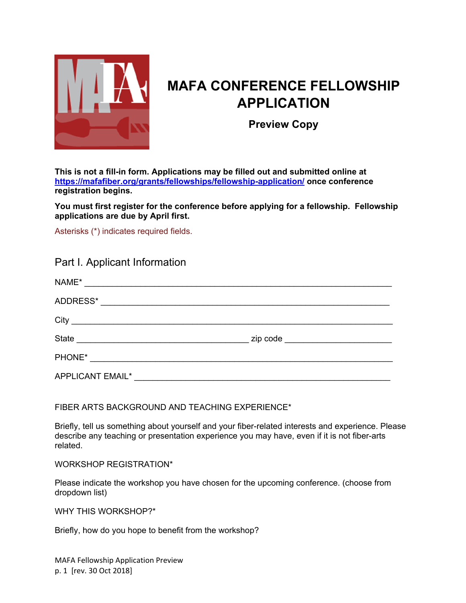

# **MAFA CONFERENCE FELLOWSHIP APPLICATION**

**Preview Copy** 

**This is not a fill-in form. Applications may be filled out and submitted online at https://mafafiber.org/grants/fellowships/fellowship-application/ once conference registration begins.** 

**You must first register for the conference before applying for a fellowship. Fellowship applications are due by April first.** 

Asterisks (\*) indicates required fields.

## Part I. Applicant Information

| NAME*<br><u> 1989 - Andrea State Barbara, amerikan personal di sebagai personal di sebagai personal di sebagai personal di</u> |                                     |
|--------------------------------------------------------------------------------------------------------------------------------|-------------------------------------|
| ADDRESS*                                                                                                                       |                                     |
| City                                                                                                                           |                                     |
| <b>State</b><br><u> 1989 - Johann Barbara, martxa alemaniar a</u>                                                              | zip code __________________________ |
| PHONE*<br><u> 1980 - Andrea Station Barbara, politik a</u>                                                                     |                                     |
| <b>APPLICANT EMAIL*</b>                                                                                                        |                                     |

FIBER ARTS BACKGROUND AND TEACHING EXPERIENCE\*

Briefly, tell us something about yourself and your fiber-related interests and experience. Please describe any teaching or presentation experience you may have, even if it is not fiber-arts related.

WORKSHOP REGISTRATION\*

Please indicate the workshop you have chosen for the upcoming conference. (choose from dropdown list)

WHY THIS WORKSHOP?\*

Briefly, how do you hope to benefit from the workshop?

MAFA Fellowship Application Preview p. 1 [rev. 30 Oct 2018]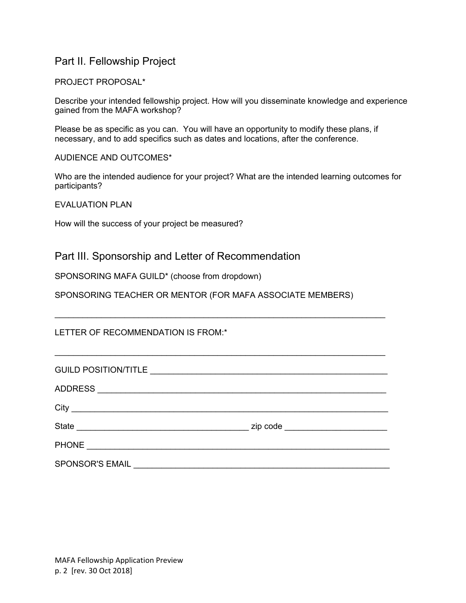# Part II. Fellowship Project

#### PROJECT PROPOSAL\*

Describe your intended fellowship project. How will you disseminate knowledge and experience gained from the MAFA workshop?

Please be as specific as you can. You will have an opportunity to modify these plans, if necessary, and to add specifics such as dates and locations, after the conference.

#### AUDIENCE AND OUTCOMES\*

Who are the intended audience for your project? What are the intended learning outcomes for participants?

EVALUATION PLAN

How will the success of your project be measured?

Part III. Sponsorship and Letter of Recommendation

SPONSORING MAFA GUILD\* (choose from dropdown)

SPONSORING TEACHER OR MENTOR (FOR MAFA ASSOCIATE MEMBERS)

LETTER OF RECOMMENDATION IS FROM:\*

| <b>GUILD POSITION/TITLE</b>                                                                                                           | the contract of the contract of the contract of the contract of the contract of the contract of the |
|---------------------------------------------------------------------------------------------------------------------------------------|-----------------------------------------------------------------------------------------------------|
| ADDRESS ___ ______________________________                                                                                            |                                                                                                     |
| City<br><u> 1989 - Johann Stein, mars an deus Amerikaansk kommunister (</u>                                                           |                                                                                                     |
| <b>State</b><br><u> 1980 - Johann Stoff, deutscher Stoff, der Stoff, der Stoff, der Stoff, der Stoff, der Stoff, der Stoff, der S</u> | zip code ________________________                                                                   |
| <b>PHONE</b>                                                                                                                          |                                                                                                     |
| SPONSOR'S EMAIL                                                                                                                       |                                                                                                     |

 $\mathcal{L}_\text{max}$  and  $\mathcal{L}_\text{max}$  and  $\mathcal{L}_\text{max}$  and  $\mathcal{L}_\text{max}$  and  $\mathcal{L}_\text{max}$  and  $\mathcal{L}_\text{max}$ 

 $\_$  , and the set of the set of the set of the set of the set of the set of the set of the set of the set of the set of the set of the set of the set of the set of the set of the set of the set of the set of the set of th